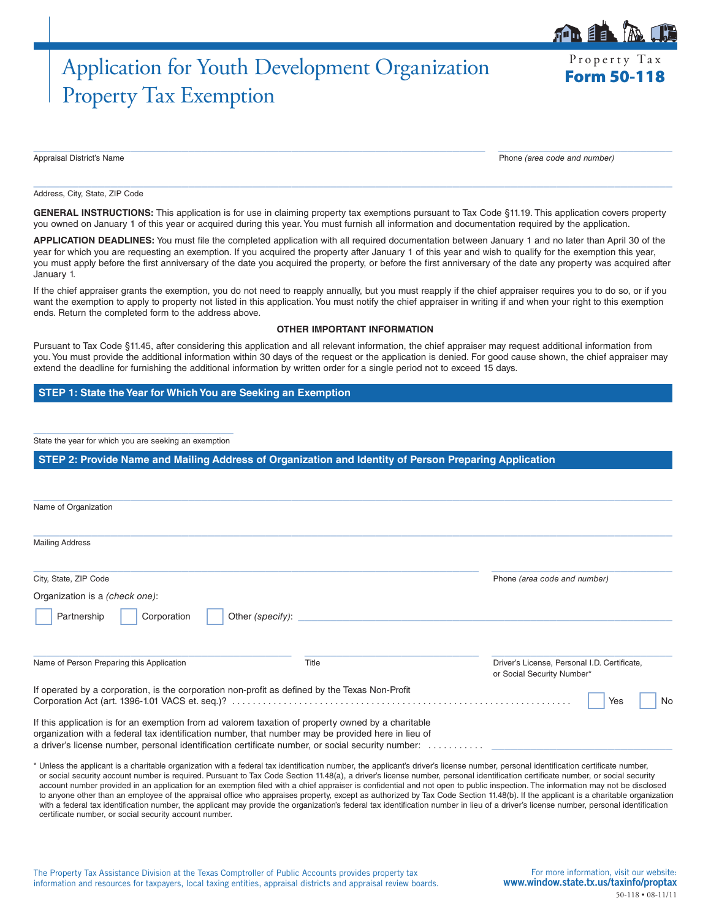# Application for Youth Development Organization Frequency Tax Property Tax Exemption

Property Tax

自目

Appraisal District's Name Phone *(area code and number)*

Address, City, State, ZIP Code

GENERAL INSTRUCTIONS: This application is for use in claiming property tax exemptions pursuant to Tax Code §11.19. This application covers property you owned on January 1 of this year or acquired during this year. You must furnish all information and documentation required by the application.

 $\_$  ,  $\_$  ,  $\_$  ,  $\_$  ,  $\_$  ,  $\_$  ,  $\_$  ,  $\_$  ,  $\_$  ,  $\_$  ,  $\_$  ,  $\_$  ,  $\_$  ,  $\_$  ,  $\_$  ,  $\_$  ,  $\_$  ,  $\_$  ,  $\_$  ,  $\_$  ,  $\_$  ,  $\_$  ,  $\_$  ,  $\_$  ,  $\_$  ,  $\_$  ,  $\_$  ,  $\_$  ,  $\_$  ,  $\_$  ,  $\_$  ,  $\_$  ,  $\_$  ,  $\_$  ,  $\_$  ,  $\_$  ,  $\_$  ,

 $\_$  , and the set of the set of the set of the set of the set of the set of the set of the set of the set of the set of the set of the set of the set of the set of the set of the set of the set of the set of the set of th

**APPLICATION DEADLINES:** You must file the completed application with all required documentation between January 1 and no later than April 30 of the year for which you are requesting an exemption. If you acquired the property after January 1 of this year and wish to qualify for the exemption this year, you must apply before the first anniversary of the date you acquired the property, or before the first anniversary of the date any property was acquired after January 1.

If the chief appraiser grants the exemption, you do not need to reapply annually, but you must reapply if the chief appraiser requires you to do so, or if you want the exemption to apply to property not listed in this application. You must notify the chief appraiser in writing if and when your right to this exemption ends. Return the completed form to the address above.

#### **OTHER IMPORTANT INFORMATION**

Pursuant to Tax Code §11.45, after considering this application and all relevant information, the chief appraiser may request additional information from you. You must provide the additional information within 30 days of the request or the application is denied. For good cause shown, the chief appraiser may extend the deadline for furnishing the additional information by written order for a single period not to exceed 15 days.

### **STEP 1: State the Year for Which You are Seeking an Exemption**

\_\_\_\_\_\_\_\_\_\_\_\_\_\_\_\_\_\_\_\_\_\_\_\_\_\_\_\_\_\_\_ State the year for which you are seeking an exemption

**STEP 2: Provide Name and Mailing Address of Organization and Identity of Person Preparing Application**

| Name of Organization                                                                                                                                                                                                                                                                                          |       |                                                                            |
|---------------------------------------------------------------------------------------------------------------------------------------------------------------------------------------------------------------------------------------------------------------------------------------------------------------|-------|----------------------------------------------------------------------------|
| <b>Mailing Address</b>                                                                                                                                                                                                                                                                                        |       |                                                                            |
| City, State, ZIP Code                                                                                                                                                                                                                                                                                         |       | Phone (area code and number)                                               |
| Organization is a <i>(check one)</i> :                                                                                                                                                                                                                                                                        |       |                                                                            |
| Other (specify):<br>Partnership<br>Corporation                                                                                                                                                                                                                                                                |       |                                                                            |
| Name of Person Preparing this Application                                                                                                                                                                                                                                                                     | Title | Driver's License, Personal I.D. Certificate,<br>or Social Security Number* |
| If operated by a corporation, is the corporation non-profit as defined by the Texas Non-Profit                                                                                                                                                                                                                |       | Yes<br>No                                                                  |
| If this application is for an exemption from ad valorem taxation of property owned by a charitable<br>organization with a federal tax identification number, that number may be provided here in lieu of<br>a driver's license number, personal identification certificate number, or social security number: |       |                                                                            |

\* Unless the applicant is a charitable organization with a federal tax identification number, the applicant's driver's license number, personal identification certificate number, or social security account number is required. Pursuant to Tax Code Section 11.48(a), a driver's license number, personal identification certificate number, or social security account number provided in an application for an exemption filed with a chief appraiser is confidential and not open to public inspection. The information may not be disclosed to anyone other than an employee of the appraisal office who appraises property, except as authorized by Tax Code Section 11.48(b). If the applicant is a charitable organization with a federal tax identification number, the applicant may provide the organization's federal tax identification number in lieu of a driver's license number, personal identification certificate number, or social security account number.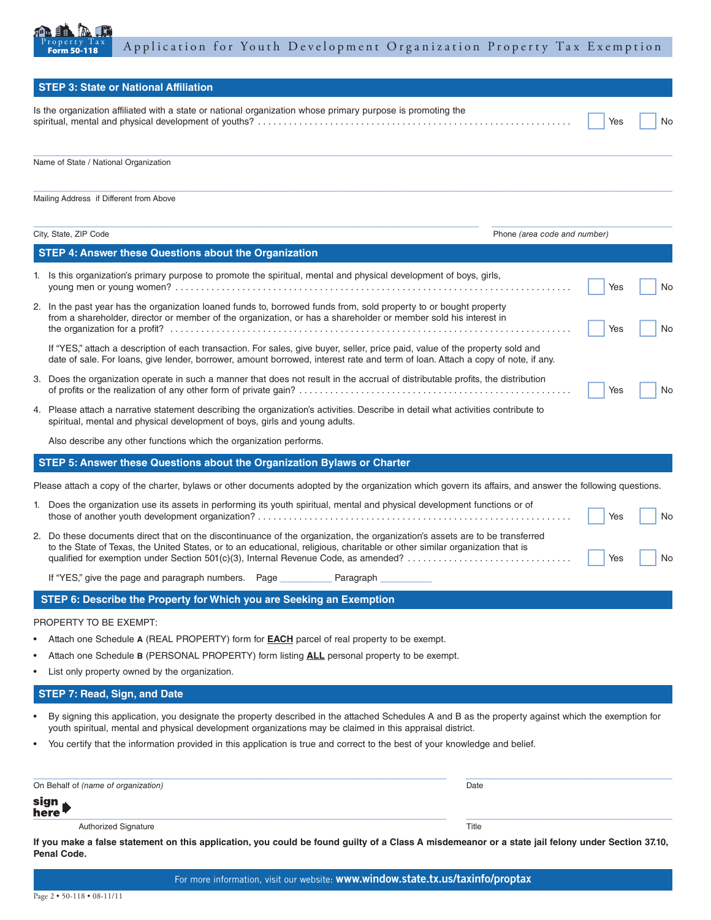

|   | <b>STEP 3: State or National Affiliation</b>                                                                                                                                                                                                                                                                                                       |     |    |
|---|----------------------------------------------------------------------------------------------------------------------------------------------------------------------------------------------------------------------------------------------------------------------------------------------------------------------------------------------------|-----|----|
|   | Is the organization affiliated with a state or national organization whose primary purpose is promoting the                                                                                                                                                                                                                                        | Yes | No |
|   | Name of State / National Organization                                                                                                                                                                                                                                                                                                              |     |    |
|   | Mailing Address if Different from Above                                                                                                                                                                                                                                                                                                            |     |    |
|   | City, State, ZIP Code<br>Phone (area code and number)                                                                                                                                                                                                                                                                                              |     |    |
|   | <b>STEP 4: Answer these Questions about the Organization</b>                                                                                                                                                                                                                                                                                       |     |    |
|   | 1. Is this organization's primary purpose to promote the spiritual, mental and physical development of boys, girls,                                                                                                                                                                                                                                | Yes | No |
|   | 2. In the past year has the organization loaned funds to, borrowed funds from, sold property to or bought property<br>from a shareholder, director or member of the organization, or has a shareholder or member sold his interest in                                                                                                              | Yes | No |
|   | If "YES," attach a description of each transaction. For sales, give buyer, seller, price paid, value of the property sold and<br>date of sale. For loans, give lender, borrower, amount borrowed, interest rate and term of loan. Attach a copy of note, if any.                                                                                   |     |    |
|   | 3. Does the organization operate in such a manner that does not result in the accrual of distributable profits, the distribution                                                                                                                                                                                                                   | Yes | No |
|   | 4. Please attach a narrative statement describing the organization's activities. Describe in detail what activities contribute to<br>spiritual, mental and physical development of boys, girls and young adults.                                                                                                                                   |     |    |
|   | Also describe any other functions which the organization performs.                                                                                                                                                                                                                                                                                 |     |    |
|   | STEP 5: Answer these Questions about the Organization Bylaws or Charter                                                                                                                                                                                                                                                                            |     |    |
|   | Please attach a copy of the charter, bylaws or other documents adopted by the organization which govern its affairs, and answer the following questions.                                                                                                                                                                                           |     |    |
|   | 1. Does the organization use its assets in performing its youth spiritual, mental and physical development functions or of                                                                                                                                                                                                                         | Yes | No |
|   | 2. Do these documents direct that on the discontinuance of the organization, the organization's assets are to be transferred<br>to the State of Texas, the United States, or to an educational, religious, charitable or other similar organization that is<br>qualified for exemption under Section 501(c)(3), Internal Revenue Code, as amended? | Yes | No |
|   | If "YES," give the page and paragraph numbers. Page Paragraph                                                                                                                                                                                                                                                                                      |     |    |
|   | STEP 6: Describe the Property for Which you are Seeking an Exemption                                                                                                                                                                                                                                                                               |     |    |
|   | PROPERTY TO BE EXEMPT:                                                                                                                                                                                                                                                                                                                             |     |    |
|   | Attach one Schedule A (REAL PROPERTY) form for <b>EACH</b> parcel of real property to be exempt.                                                                                                                                                                                                                                                   |     |    |
| ٠ | Attach one Schedule B (PERSONAL PROPERTY) form listing ALL personal property to be exempt.                                                                                                                                                                                                                                                         |     |    |
|   | List only property owned by the organization.                                                                                                                                                                                                                                                                                                      |     |    |
|   | <b>STEP 7: Read, Sign, and Date</b>                                                                                                                                                                                                                                                                                                                |     |    |
|   | By signing this application, you designate the property described in the attached Schedules A and B as the property against which the exemption for<br>youth spiritual, mental and physical development organizations may be claimed in this appraisal district.                                                                                   |     |    |
|   | You certify that the information provided in this application is true and correct to the best of your knowledge and belief.                                                                                                                                                                                                                        |     |    |
|   | On Behalf of (name of organization)<br>Date                                                                                                                                                                                                                                                                                                        |     |    |
|   | sign<br>here                                                                                                                                                                                                                                                                                                                                       |     |    |
|   | Authorized Signature<br>Title                                                                                                                                                                                                                                                                                                                      |     |    |

**Penal Code.**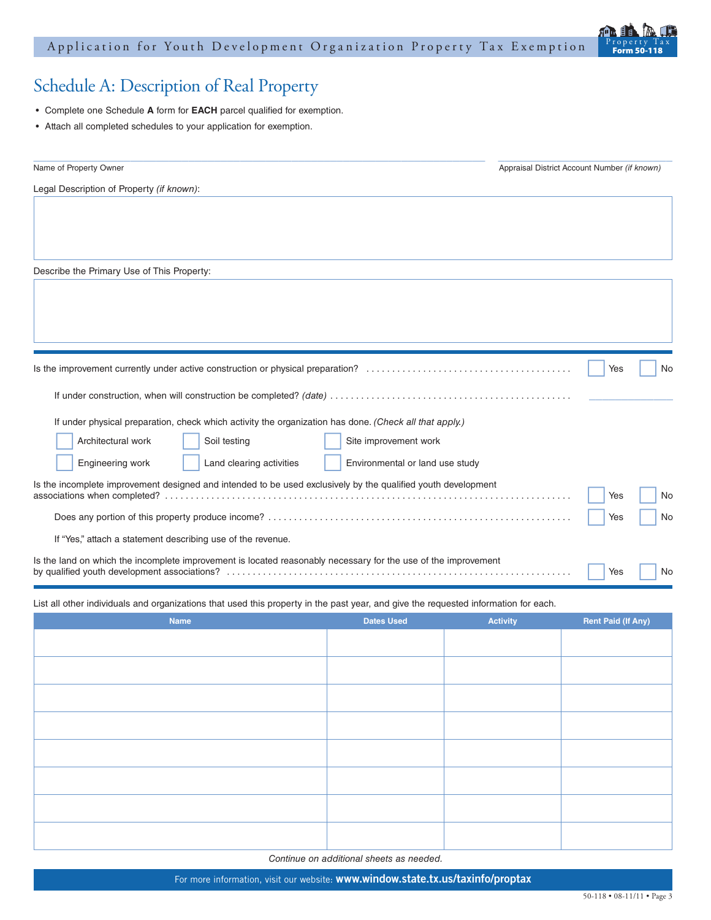### Application for Youth Development Organization Property Tax Exemption



## Schedule A: Description of Real Property

- • Complete one Schedule **A** form for **EACH** parcel qualified for exemption.
- • Attach all completed schedules to your application for exemption.

| Name of Property Owner                                                                                         | Appraisal District Account Number (if known) |     |    |
|----------------------------------------------------------------------------------------------------------------|----------------------------------------------|-----|----|
| Legal Description of Property (if known):                                                                      |                                              |     |    |
|                                                                                                                |                                              |     |    |
|                                                                                                                |                                              |     |    |
|                                                                                                                |                                              |     |    |
| Describe the Primary Use of This Property:                                                                     |                                              |     |    |
|                                                                                                                |                                              |     |    |
|                                                                                                                |                                              |     |    |
|                                                                                                                |                                              |     |    |
|                                                                                                                |                                              |     |    |
|                                                                                                                |                                              | Yes | No |
|                                                                                                                |                                              |     |    |
| If under physical preparation, check which activity the organization has done. (Check all that apply.)         |                                              |     |    |
| Architectural work<br>Soil testing<br>Site improvement work                                                    |                                              |     |    |
| Engineering work<br>Land clearing activities<br>Environmental or land use study                                |                                              |     |    |
| Is the incomplete improvement designed and intended to be used exclusively by the qualified youth development  |                                              |     |    |
|                                                                                                                |                                              | Yes | No |
|                                                                                                                |                                              | Yes | No |
| If "Yes," attach a statement describing use of the revenue.                                                    |                                              |     |    |
| Is the land on which the incomplete improvement is located reasonably necessary for the use of the improvement |                                              | Yes | No |

List all other individuals and organizations that used this property in the past year, and give the requested information for each.

| Name | <b>Dates Used</b> | Activity | <b>Rent Paid (If Any)</b> |
|------|-------------------|----------|---------------------------|
|      |                   |          |                           |
|      |                   |          |                           |
|      |                   |          |                           |
|      |                   |          |                           |
|      |                   |          |                           |
|      |                   |          |                           |
|      |                   |          |                           |
|      |                   |          |                           |
|      |                   |          |                           |

*Continue on additional sheets as needed.*